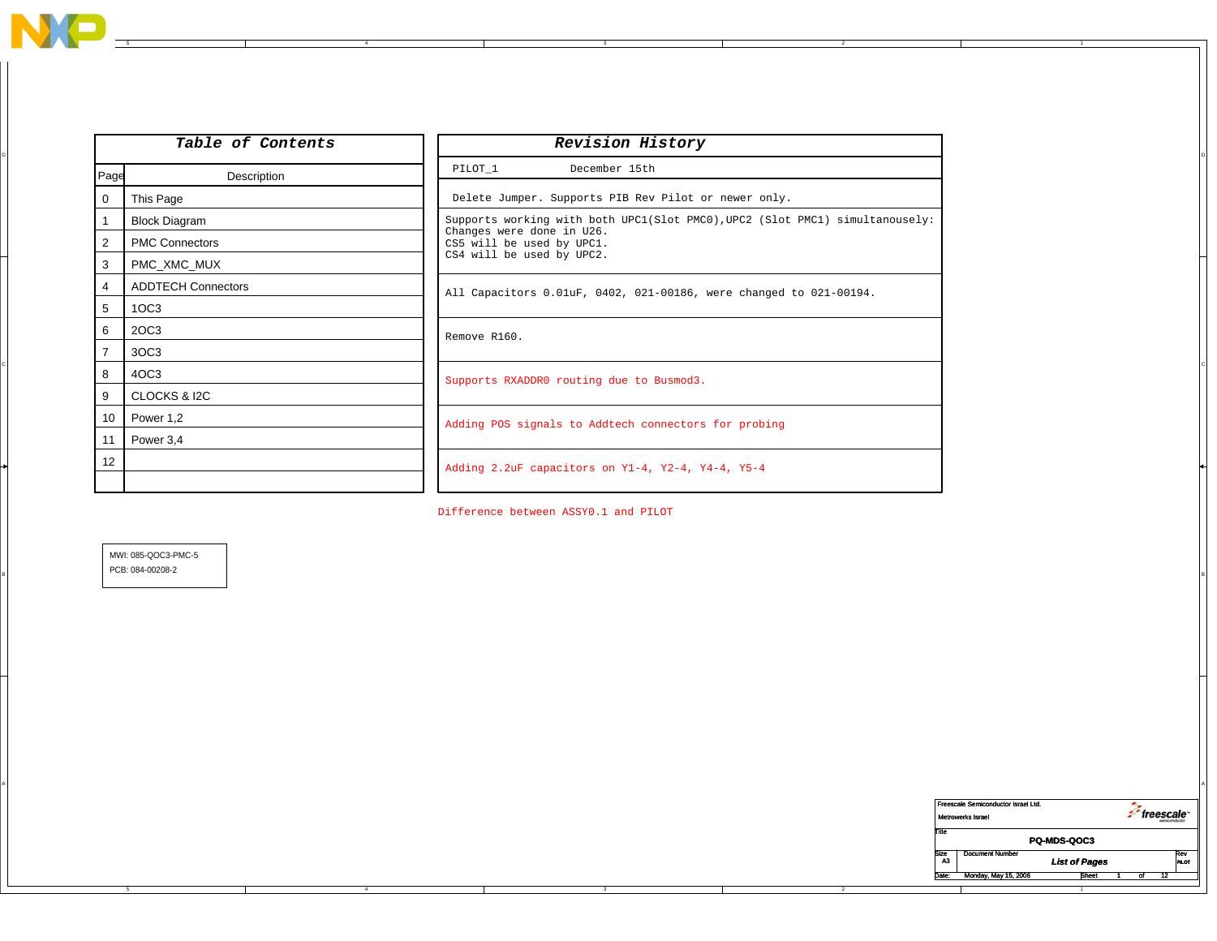

A

5 4

|                | Table of Contents         | Revision History                                                             |
|----------------|---------------------------|------------------------------------------------------------------------------|
| Page           | Description               | PILOT_1<br>December 15th                                                     |
| $\overline{0}$ | This Page                 | Delete Jumper. Supports PIB Rev Pilot or newer only.                         |
|                | <b>Block Diagram</b>      | Supports working with both UPC1(Slot PMC0), UPC2 (Slot PMC1) simultanousely: |
| 2              | <b>PMC Connectors</b>     | Changes were done in U26.<br>CS5 will be used by UPC1.                       |
| 3              | PMC XMC MUX               | CS4 will be used by UPC2.                                                    |
| 4              | <b>ADDTECH Connectors</b> | All Capacitors 0.01uF, 0402, 021-00186, were changed to 021-00194.           |
| 5              | 1OC3                      |                                                                              |
| 6              | 2OC3                      | Remove R160.                                                                 |
|                | 3OC3                      |                                                                              |
| 8              | 4OC3                      | Supports RXADDR0 routing due to Busmod3.                                     |
| 9              | CLOCKS & I2C              |                                                                              |
| 10             | Power 1,2                 | Adding POS signals to Addtech connectors for probing                         |
| 11             | Power 3,4                 |                                                                              |
| 12             |                           | Adding 2.2uF capacitors on Y1-4, Y2-4, Y4-4, Y5-4                            |
|                |                           |                                                                              |

Difference between ASSY0.1 and PILOT

A

 $\mathsf{B}$ MWI: 085-QOC3-PMC-5 PCB: 084-00208-2

|                    | Freescale Semiconductor Israel Ltd. |                      | freescale |    |                 |              |  |  |  |
|--------------------|-------------------------------------|----------------------|-----------|----|-----------------|--------------|--|--|--|
|                    | Metrowerks Israel                   |                      |           |    |                 |              |  |  |  |
| Title              |                                     |                      |           |    |                 |              |  |  |  |
| <b>PQ-MDS-QOC3</b> |                                     |                      |           |    |                 |              |  |  |  |
| Size               | <b>Document Number</b>              |                      |           |    |                 | Rev          |  |  |  |
| A3                 |                                     | <b>List of Pages</b> |           |    |                 | <b>PILOT</b> |  |  |  |
| Date:              | Monday, May 15, 2006                | <b>Sheet</b>         |           | of | $\overline{12}$ |              |  |  |  |
|                    |                                     |                      |           |    |                 |              |  |  |  |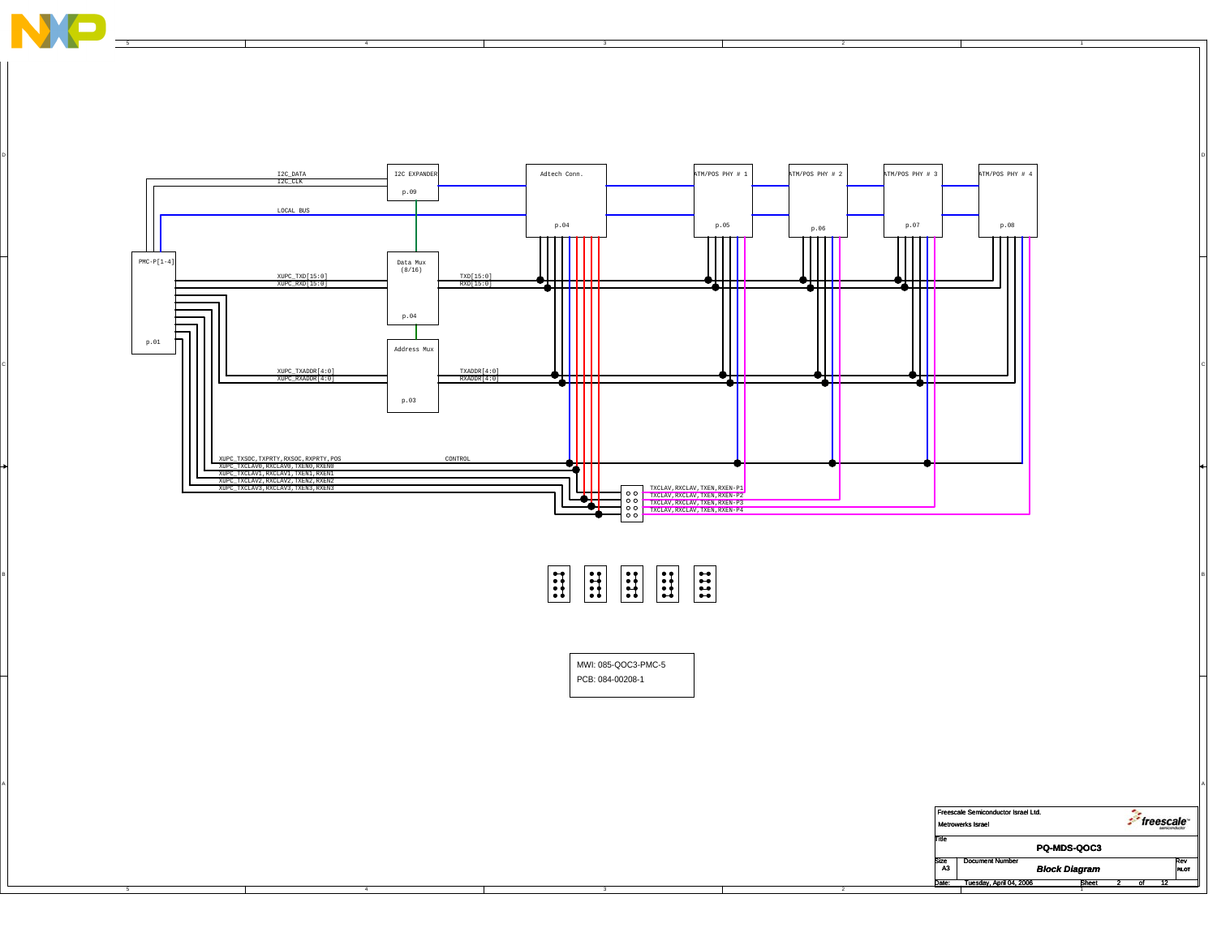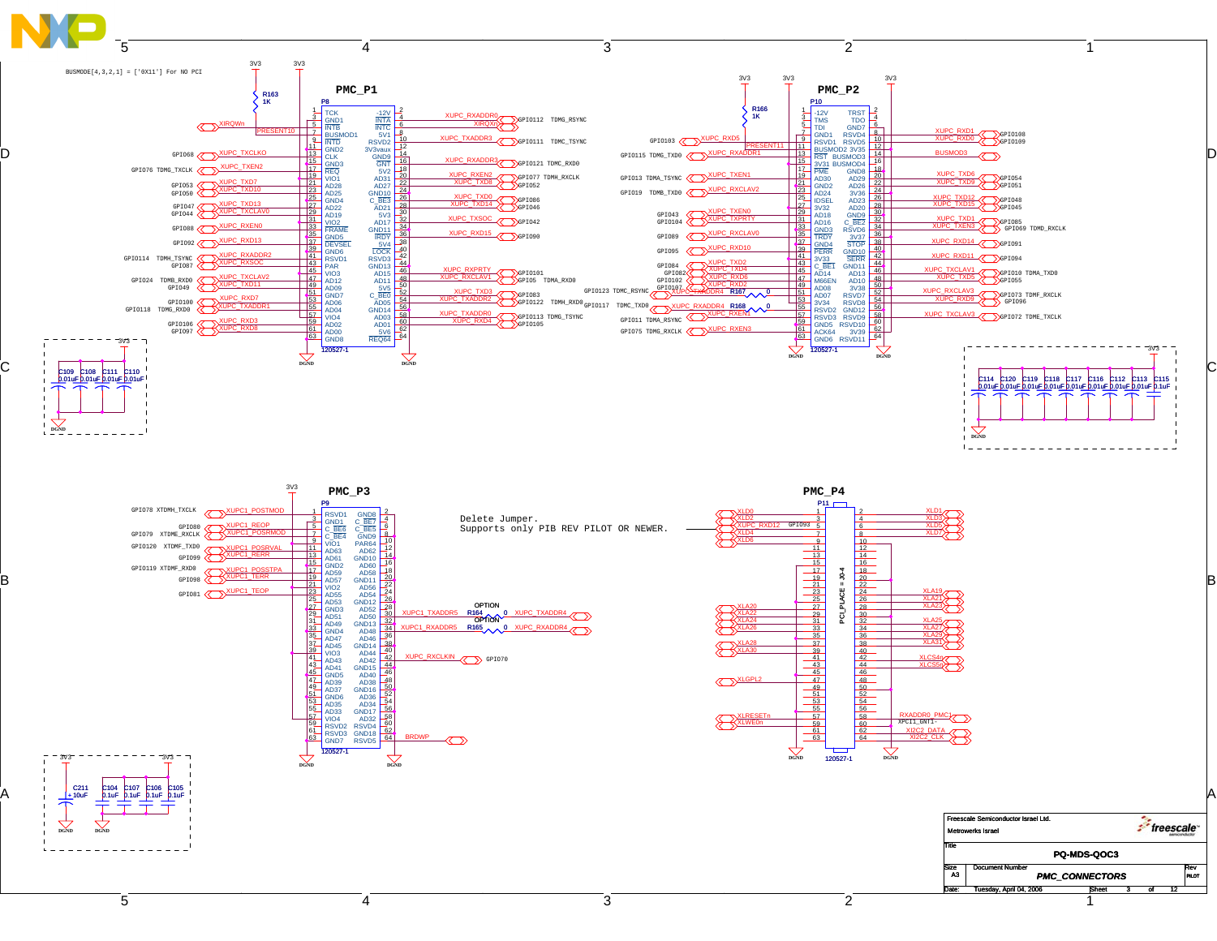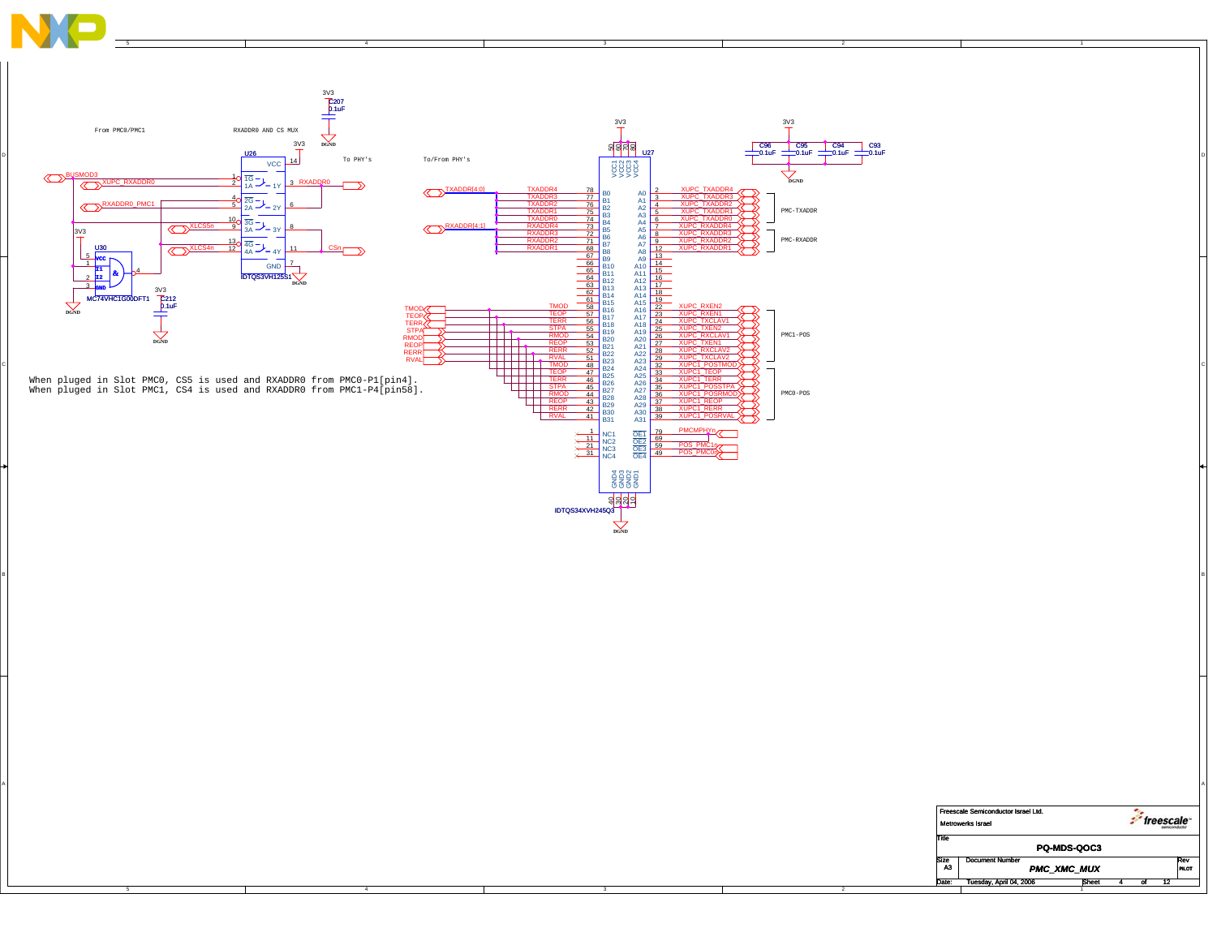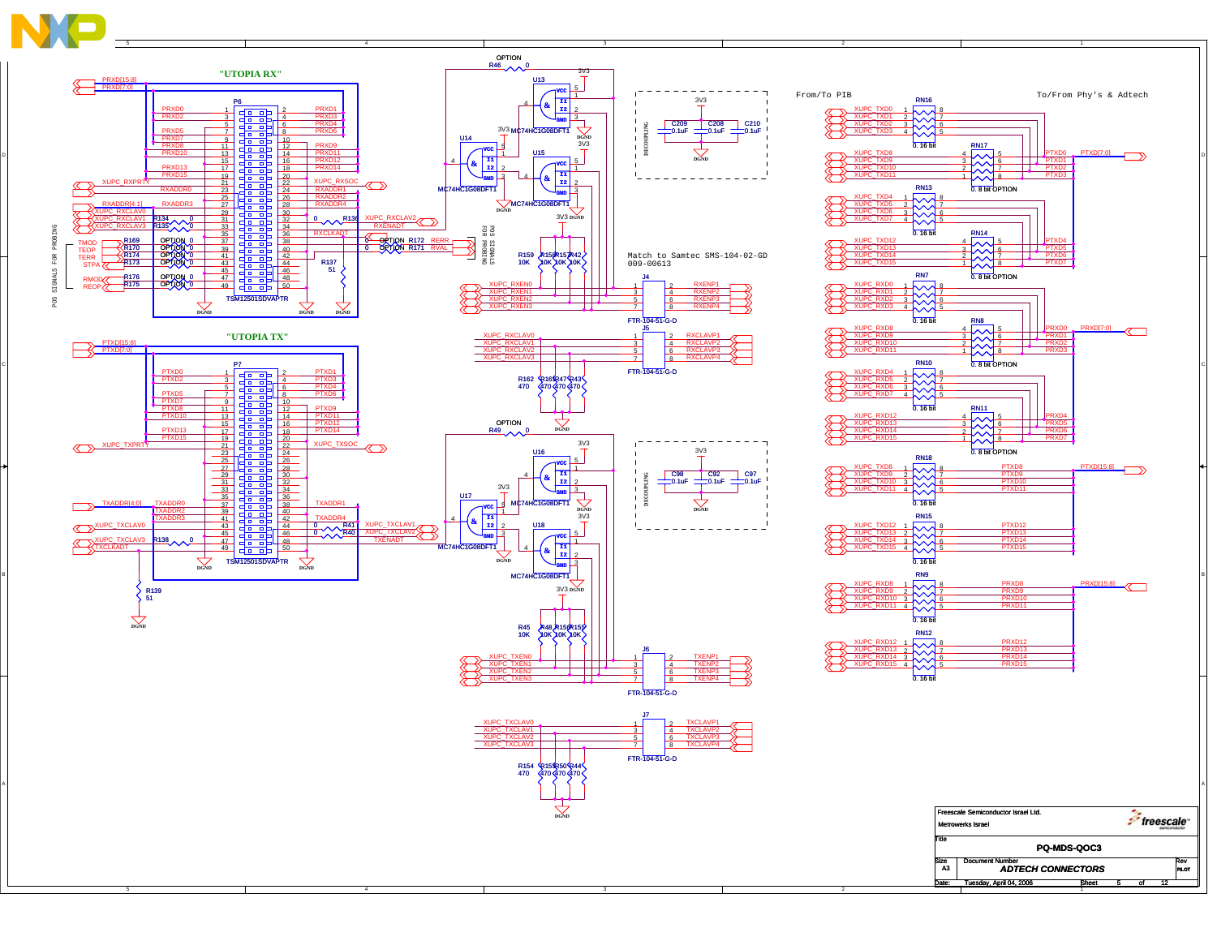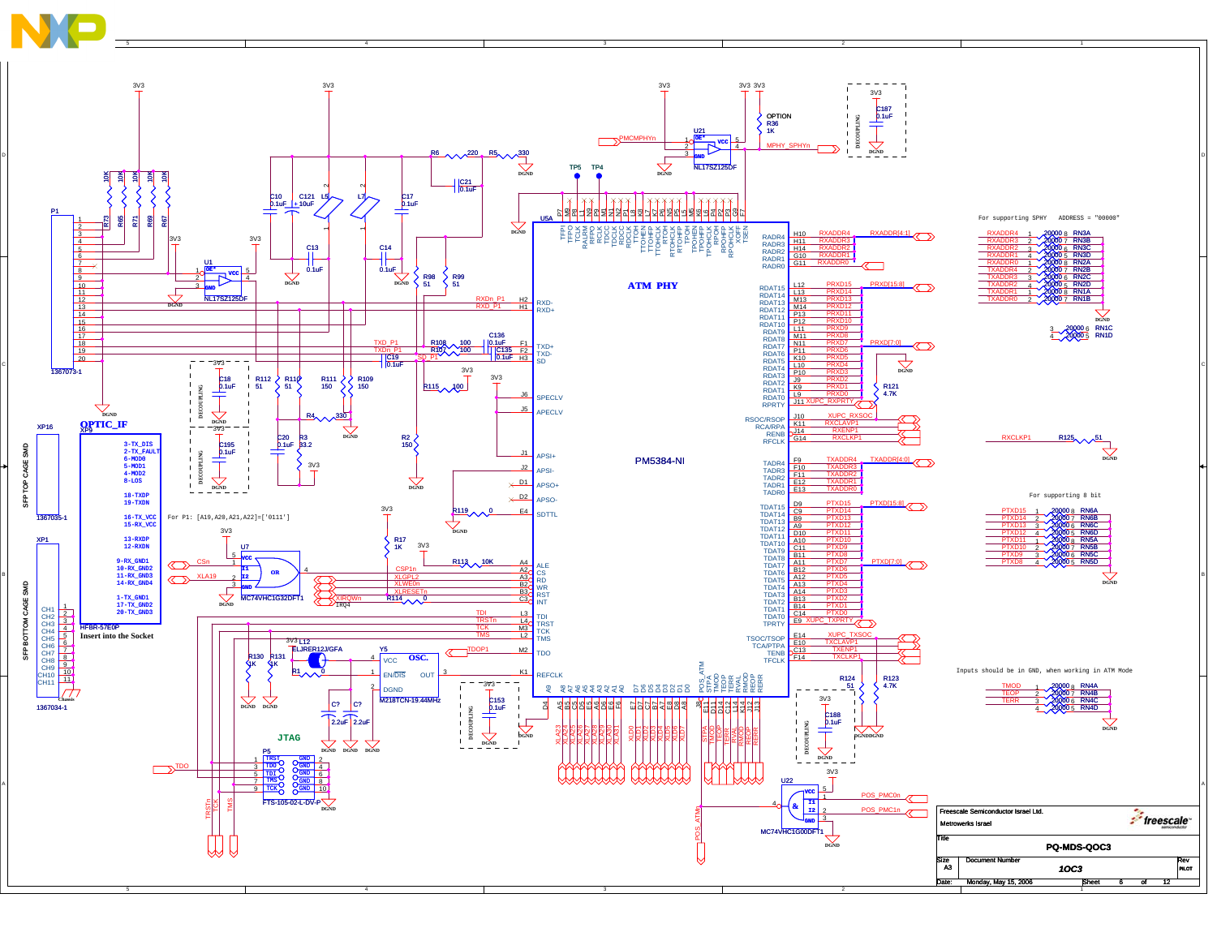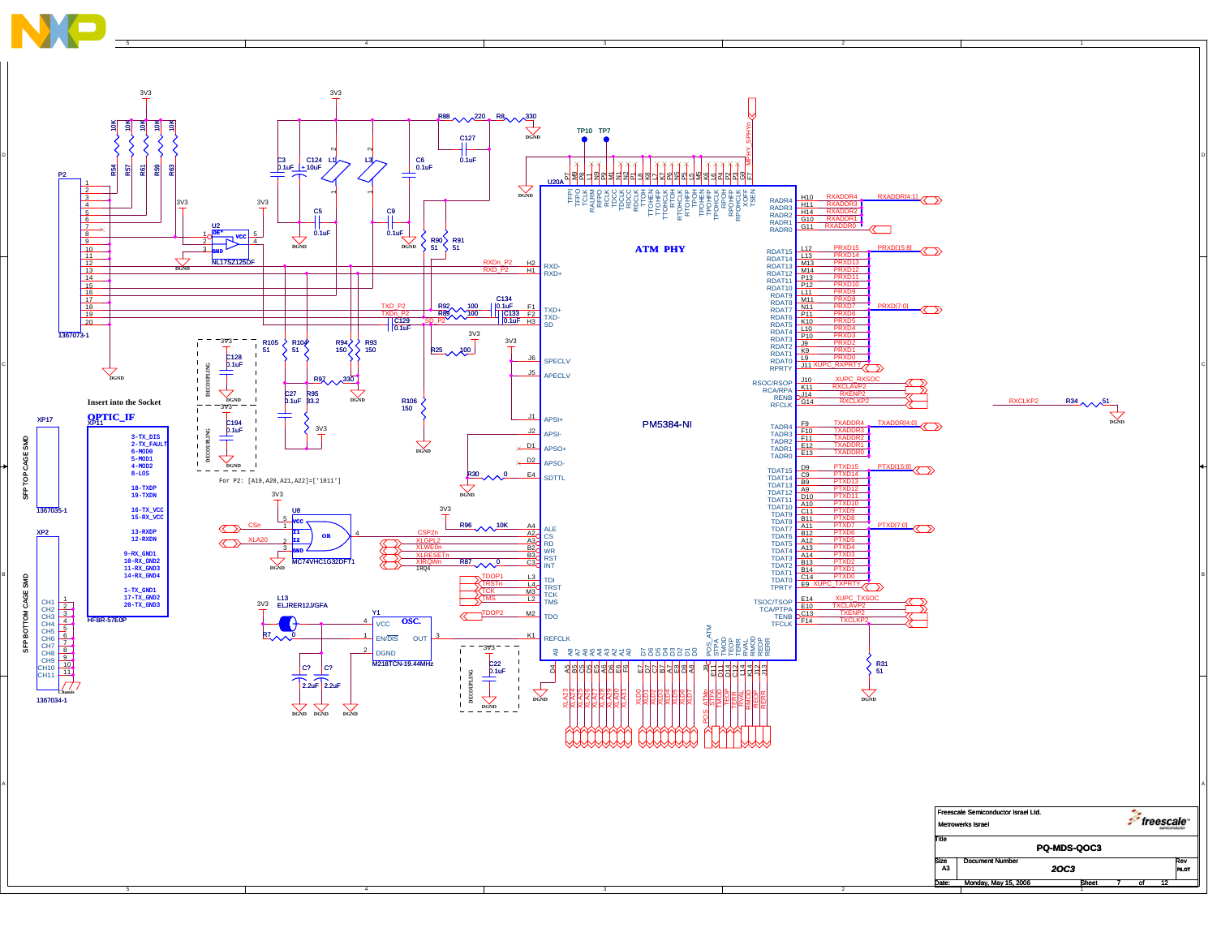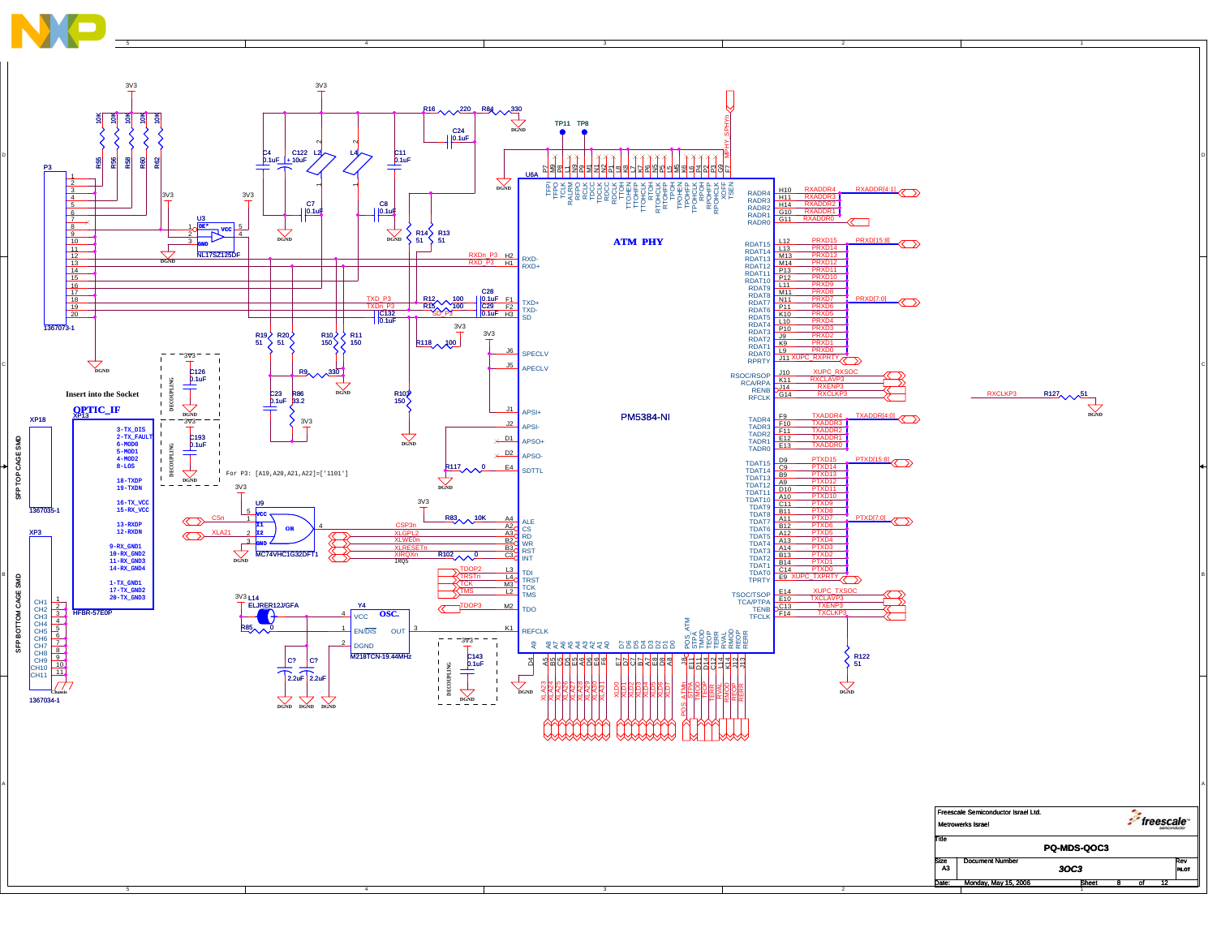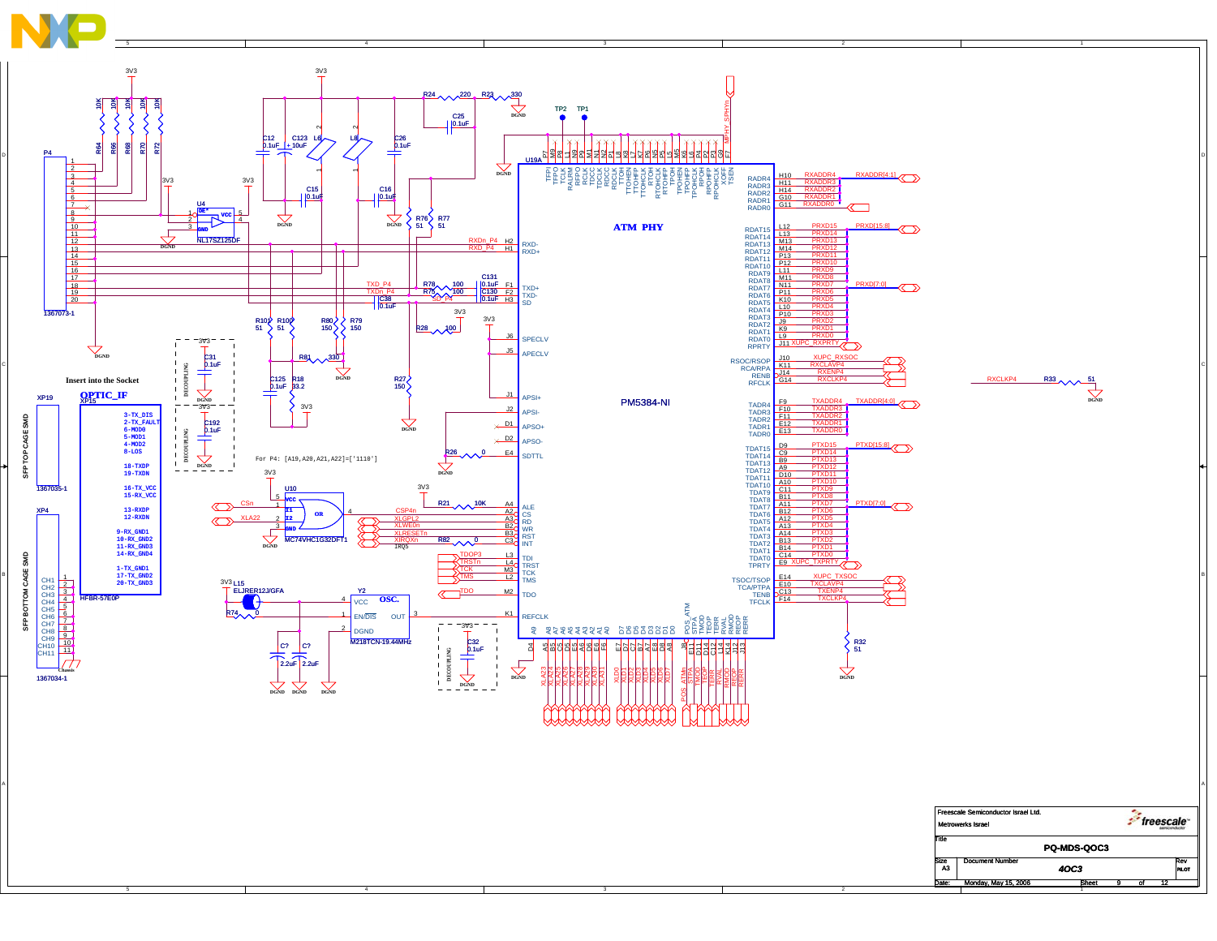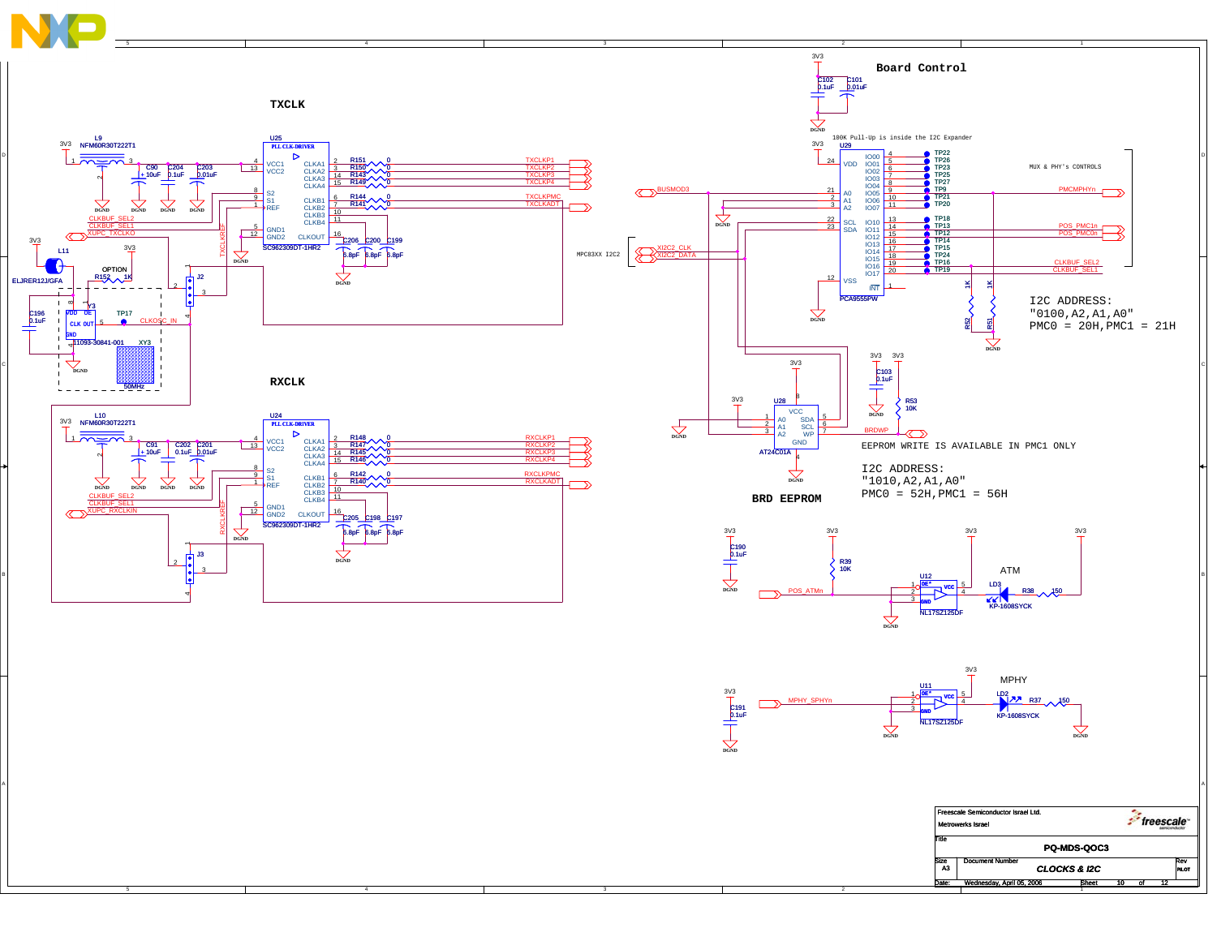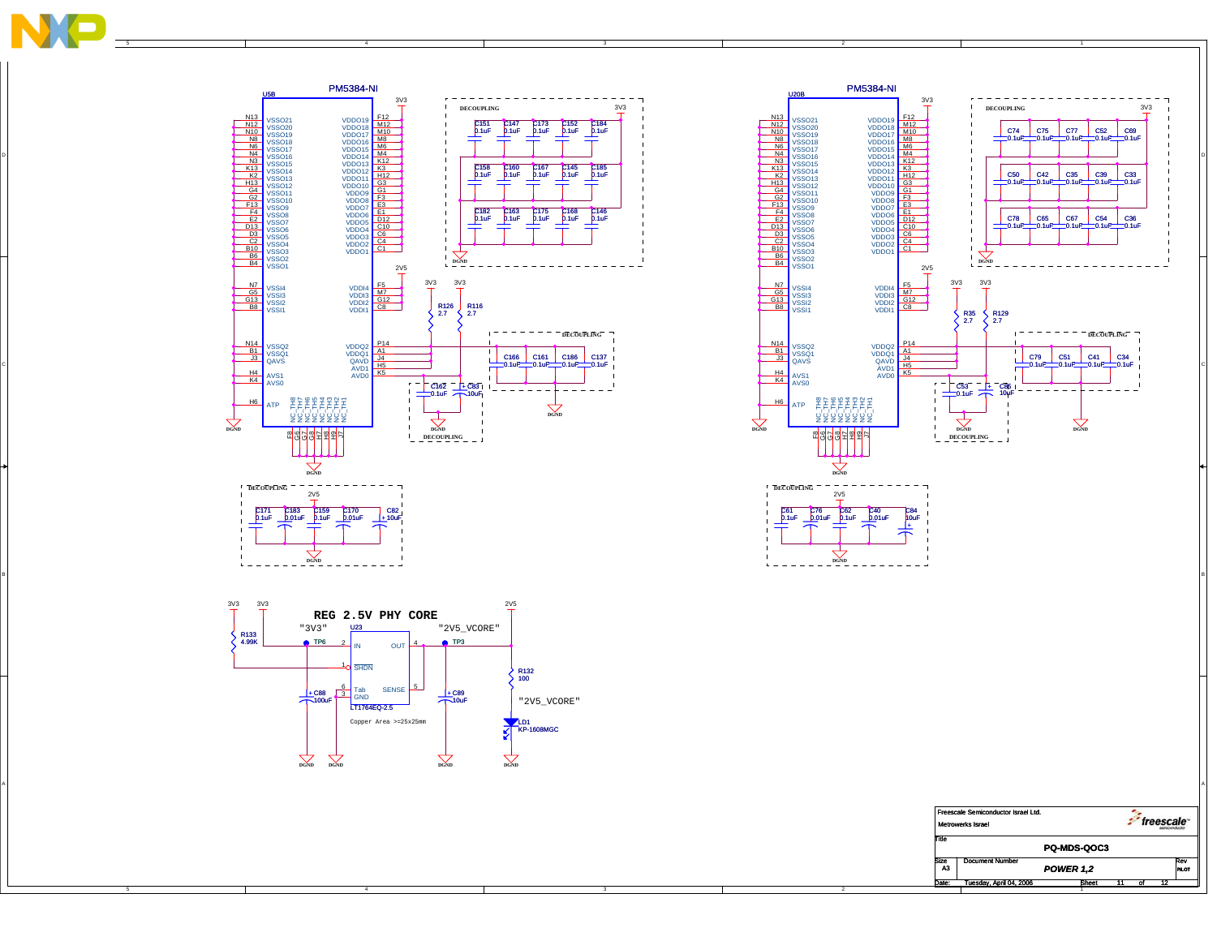

C

A